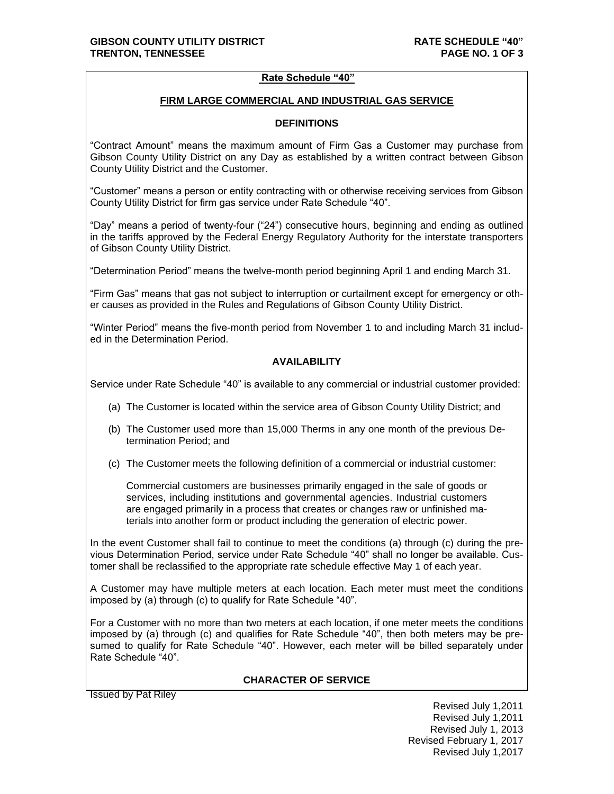## **Rate Schedule "40"**

#### **FIRM LARGE COMMERCIAL AND INDUSTRIAL GAS SERVICE**

## **DEFINITIONS**

"Contract Amount" means the maximum amount of Firm Gas a Customer may purchase from Gibson County Utility District on any Day as established by a written contract between Gibson County Utility District and the Customer.

"Customer" means a person or entity contracting with or otherwise receiving services from Gibson County Utility District for firm gas service under Rate Schedule "40".

"Day" means a period of twenty-four ("24") consecutive hours, beginning and ending as outlined in the tariffs approved by the Federal Energy Regulatory Authority for the interstate transporters of Gibson County Utility District.

"Determination Period" means the twelve-month period beginning April 1 and ending March 31.

"Firm Gas" means that gas not subject to interruption or curtailment except for emergency or other causes as provided in the Rules and Regulations of Gibson County Utility District.

"Winter Period" means the five-month period from November 1 to and including March 31 included in the Determination Period.

## **AVAILABILITY**

Service under Rate Schedule "40" is available to any commercial or industrial customer provided:

- (a) The Customer is located within the service area of Gibson County Utility District; and
- (b) The Customer used more than 15,000 Therms in any one month of the previous Determination Period; and
- (c) The Customer meets the following definition of a commercial or industrial customer:

Commercial customers are businesses primarily engaged in the sale of goods or services, including institutions and governmental agencies. Industrial customers are engaged primarily in a process that creates or changes raw or unfinished materials into another form or product including the generation of electric power.

In the event Customer shall fail to continue to meet the conditions (a) through (c) during the previous Determination Period, service under Rate Schedule "40" shall no longer be available. Customer shall be reclassified to the appropriate rate schedule effective May 1 of each year.

A Customer may have multiple meters at each location. Each meter must meet the conditions imposed by (a) through (c) to qualify for Rate Schedule "40".

For a Customer with no more than two meters at each location, if one meter meets the conditions imposed by (a) through (c) and qualifies for Rate Schedule "40", then both meters may be presumed to qualify for Rate Schedule "40". However, each meter will be billed separately under Rate Schedule "40".

## **CHARACTER OF SERVICE**

Issued by Pat Riley

Revised July 1,2011 Revised July 1,2011 Revised July 1, 2013 Revised February 1, 2017 Revised July 1,2017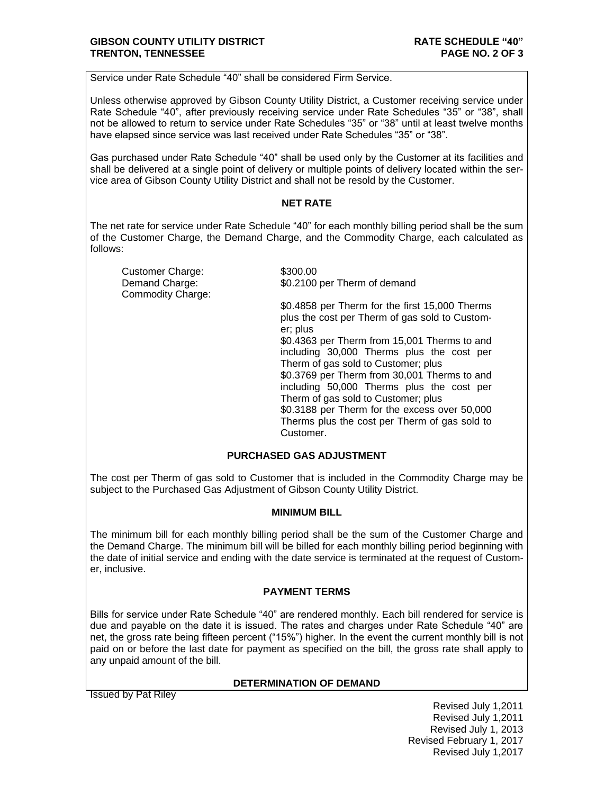Service under Rate Schedule "40" shall be considered Firm Service.

Unless otherwise approved by Gibson County Utility District, a Customer receiving service under Rate Schedule "40", after previously receiving service under Rate Schedules "35" or "38", shall not be allowed to return to service under Rate Schedules "35" or "38" until at least twelve months have elapsed since service was last received under Rate Schedules "35" or "38".

Gas purchased under Rate Schedule "40" shall be used only by the Customer at its facilities and shall be delivered at a single point of delivery or multiple points of delivery located within the service area of Gibson County Utility District and shall not be resold by the Customer.

## **NET RATE**

The net rate for service under Rate Schedule "40" for each monthly billing period shall be the sum of the Customer Charge, the Demand Charge, and the Commodity Charge, each calculated as follows:

Customer Charge: \$300.00 Commodity Charge:

Demand Charge: \$0.2100 per Therm of demand

\$0.4858 per Therm for the first 15,000 Therms plus the cost per Therm of gas sold to Customer; plus

\$0.4363 per Therm from 15,001 Therms to and including 30,000 Therms plus the cost per Therm of gas sold to Customer; plus

\$0.3769 per Therm from 30,001 Therms to and including 50,000 Therms plus the cost per Therm of gas sold to Customer; plus

\$0.3188 per Therm for the excess over 50,000 Therms plus the cost per Therm of gas sold to **Customer** 

## **PURCHASED GAS ADJUSTMENT**

The cost per Therm of gas sold to Customer that is included in the Commodity Charge may be subject to the Purchased Gas Adjustment of Gibson County Utility District.

## **MINIMUM BILL**

The minimum bill for each monthly billing period shall be the sum of the Customer Charge and the Demand Charge. The minimum bill will be billed for each monthly billing period beginning with the date of initial service and ending with the date service is terminated at the request of Customer, inclusive.

## **PAYMENT TERMS**

Bills for service under Rate Schedule "40" are rendered monthly. Each bill rendered for service is due and payable on the date it is issued. The rates and charges under Rate Schedule "40" are net, the gross rate being fifteen percent ("15%") higher. In the event the current monthly bill is not paid on or before the last date for payment as specified on the bill, the gross rate shall apply to any unpaid amount of the bill.

# **DETERMINATION OF DEMAND**

Issued by Pat Riley

Revised July 1,2011 Revised July 1,2011 Revised July 1, 2013 Revised February 1, 2017 Revised July 1,2017